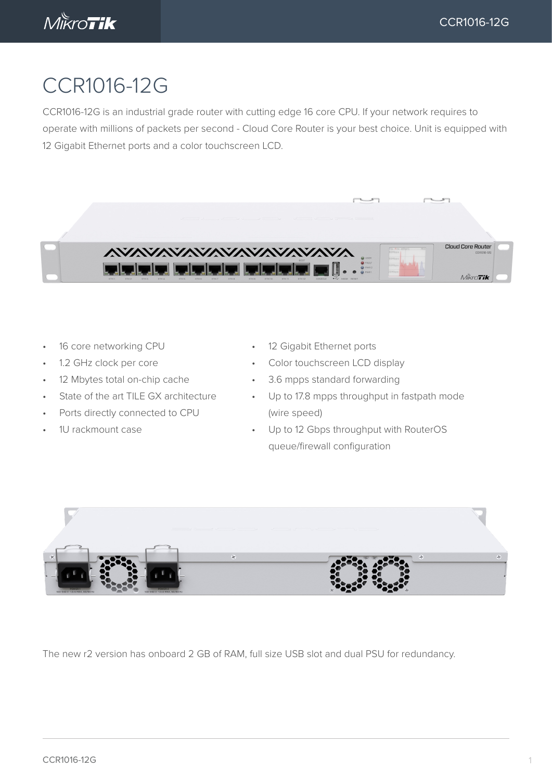

## CCR1016-12G

CCR1016-12G is an industrial grade router with cutting edge 16 core CPU. If your network requires to operate with millions of packets per second - Cloud Core Router is your best choice. Unit is equipped with 12 Gigabit Ethernet ports and a color touchscreen LCD.



- 16 core networking CPU
- 1.2 GHz clock per core
- 12 Mbytes total on-chip cache
- State of the art TILE GX architecture
- Ports directly connected to CPU
- 1U rackmount case
- 12 Gigabit Ethernet ports
- Color touchscreen LCD display
- 3.6 mpps standard forwarding
- Up to 17.8 mpps throughput in fastpath mode (wire speed)
- Up to 12 Gbps throughput with RouterOS queue/firewall configuration



The new r2 version has onboard 2 GB of RAM, full size USB slot and dual PSU for redundancy.